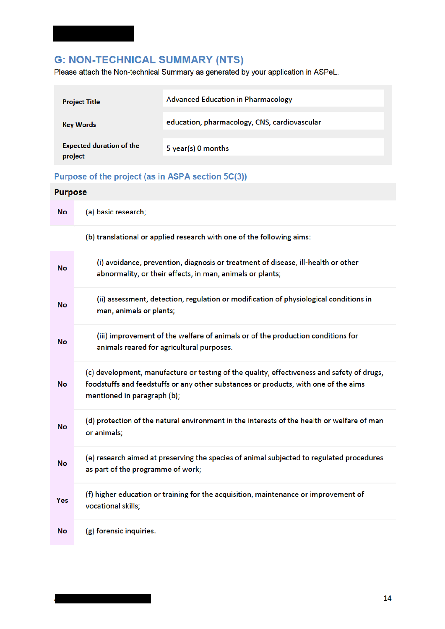# **G: NON-TECHNICAL SUMMARY (NTS)**

Please attach the Non-technical Summary as generated by your application in ASPeL.

| <b>Project Title</b>                       | <b>Advanced Education in Pharmacology</b>    |
|--------------------------------------------|----------------------------------------------|
| <b>Key Words</b>                           | education, pharmacology, CNS, cardiovascular |
| <b>Expected duration of the</b><br>project | 5 year(s) 0 months                           |

## Purpose of the project (as in ASPA section 5C(3))

| <b>Purpose</b> |                                                                                                                                                                                                                  |
|----------------|------------------------------------------------------------------------------------------------------------------------------------------------------------------------------------------------------------------|
| No             | (a) basic research;                                                                                                                                                                                              |
|                | (b) translational or applied research with one of the following aims:                                                                                                                                            |
| No             | (i) avoidance, prevention, diagnosis or treatment of disease, ill-health or other<br>abnormality, or their effects, in man, animals or plants;                                                                   |
| No             | (ii) assessment, detection, regulation or modification of physiological conditions in<br>man, animals or plants;                                                                                                 |
| Νo             | (iii) improvement of the welfare of animals or of the production conditions for<br>animals reared for agricultural purposes.                                                                                     |
| No             | (c) development, manufacture or testing of the quality, effectiveness and safety of drugs,<br>foodstuffs and feedstuffs or any other substances or products, with one of the aims<br>mentioned in paragraph (b); |
| No             | (d) protection of the natural environment in the interests of the health or welfare of man<br>or animals;                                                                                                        |
| No             | (e) research aimed at preserving the species of animal subjected to regulated procedures<br>as part of the programme of work;                                                                                    |
| Yes            | (f) higher education or training for the acquisition, maintenance or improvement of<br>vocational skills;                                                                                                        |
| No             | (g) forensic inquiries.                                                                                                                                                                                          |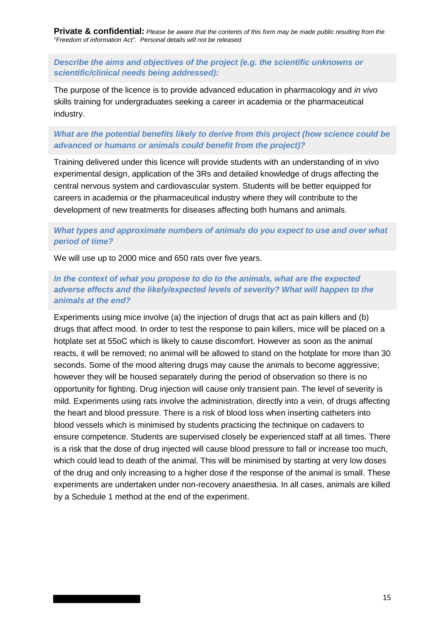**Private & confidential:** *Please be aware that the contents of this form may be made public resulting from the "Freedom of information Act". Personal details will not be released.* 

## *Describe the aims and objectives of the project (e.g. the scientific unknowns or scientific/clinical needs being addressed):*

The purpose of the licence is to provide advanced education in pharmacology and *in vivo* skills training for undergraduates seeking a career in academia or the pharmaceutical industry.

## *What are the potential benefits likely to derive from this project (how science could be advanced or humans or animals could benefit from the project)?*

Training delivered under this licence will provide students with an understanding of in vivo experimental design, application of the 3Rs and detailed knowledge of drugs affecting the central nervous system and cardiovascular system. Students will be better equipped for careers in academia or the pharmaceutical industry where they will contribute to the development of new treatments for diseases affecting both humans and animals.

## *What types and approximate numbers of animals do you expect to use and over what period of time?*

We will use up to 2000 mice and 650 rats over five years.

## *In the context of what you propose to do to the animals, what are the expected adverse effects and the likely/expected levels of severity? What will happen to the animals at the end?*

Experiments using mice involve (a) the injection of drugs that act as pain killers and (b) drugs that affect mood. In order to test the response to pain killers, mice will be placed on a hotplate set at 55oC which is likely to cause discomfort. However as soon as the animal reacts, it will be removed; no animal will be allowed to stand on the hotplate for more than 30 seconds. Some of the mood altering drugs may cause the animals to become aggressive; however they will be housed separately during the period of observation so there is no opportunity for fighting. Drug injection will cause only transient pain. The level of severity is mild. Experiments using rats involve the administration, directly into a vein, of drugs affecting the heart and blood pressure. There is a risk of blood loss when inserting catheters into blood vessels which is minimised by students practicing the technique on cadavers to ensure competence. Students are supervised closely be experienced staff at all times. There is a risk that the dose of drug injected will cause blood pressure to fall or increase too much, which could lead to death of the animal. This will be minimised by starting at very low doses of the drug and only increasing to a higher dose if the response of the animal is small. These experiments are undertaken under non-recovery anaesthesia. In all cases, animals are killed by a Schedule 1 method at the end of the experiment.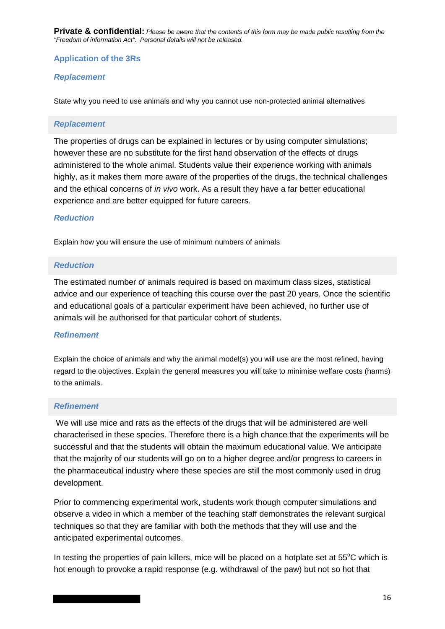**Private & confidential:** *Please be aware that the contents of this form may be made public resulting from the "Freedom of information Act". Personal details will not be released.* 

## **Application of the 3Rs**

#### *Replacement*

State why you need to use animals and why you cannot use non-protected animal alternatives

#### *Replacement*

The properties of drugs can be explained in lectures or by using computer simulations; however these are no substitute for the first hand observation of the effects of drugs administered to the whole animal. Students value their experience working with animals highly, as it makes them more aware of the properties of the drugs, the technical challenges and the ethical concerns of *in vivo* work. As a result they have a far better educational experience and are better equipped for future careers.

#### *Reduction*

Explain how you will ensure the use of minimum numbers of animals

#### *Reduction*

The estimated number of animals required is based on maximum class sizes, statistical advice and our experience of teaching this course over the past 20 years. Once the scientific and educational goals of a particular experiment have been achieved, no further use of animals will be authorised for that particular cohort of students.

#### *Refinement*

Explain the choice of animals and why the animal model(s) you will use are the most refined, having regard to the objectives. Explain the general measures you will take to minimise welfare costs (harms) to the animals.

### *Refinement*

We will use mice and rats as the effects of the drugs that will be administered are well characterised in these species. Therefore there is a high chance that the experiments will be successful and that the students will obtain the maximum educational value. We anticipate that the majority of our students will go on to a higher degree and/or progress to careers in the pharmaceutical industry where these species are still the most commonly used in drug development.

Prior to commencing experimental work, students work though computer simulations and observe a video in which a member of the teaching staff demonstrates the relevant surgical techniques so that they are familiar with both the methods that they will use and the anticipated experimental outcomes.

In testing the properties of pain killers, mice will be placed on a hotplate set at  $55^{\circ}$ C which is hot enough to provoke a rapid response (e.g. withdrawal of the paw) but not so hot that